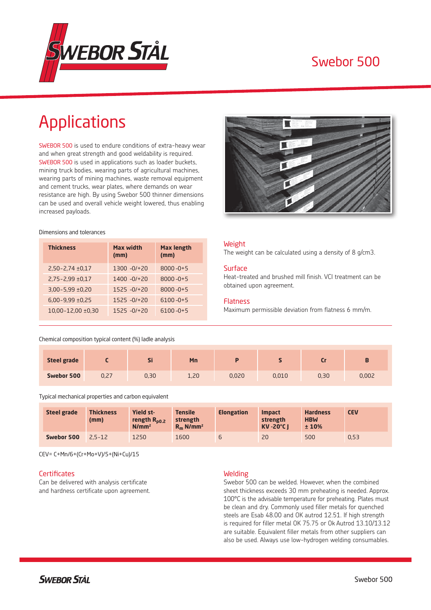

# Swebor 500

# Applications

SWEBOR 500 is used to endure conditions of extra-heavy wear and when great strength and good weldability is required. SWEBOR 500 is used in applications such as loader buckets, mining truck bodies, wearing parts of agricultural machines, wearing parts of mining machines, waste removal equipment and cement trucks, wear plates, where demands on wear resistance are high. By using Swebor 500 thinner dimensions can be used and overall vehicle weight lowered, thus enabling increased payloads.

#### Dimensions and tolerances

| <b>Thickness</b>         | Max width<br>(mm) | <b>Max length</b><br>(mm) |
|--------------------------|-------------------|---------------------------|
| $2,50 - 2,74 \pm 0,17$   | $1300 - 0/120$    | $8000 - 0 + 5$            |
| $2.75 - 2.99 \pm 0.17$   | $1400 - 0/120$    | $8000 - 0 + 5$            |
| $3.00 - 5.99 \pm 0.20$   | $1525 - 0/120$    | $8000 - 0 + 5$            |
| $6,00-9,99 \pm 0,25$     | $1525 - 0/120$    | $6100 - 0 + 5$            |
| $10.00 - 12.00 \pm 0.30$ | $1525 - 0/120$    | $6100 - 0 + 5$            |



#### Weight

The weight can be calculated using a density of 8 g/cm3.

#### **Surface**

Heat-treated and brushed mill finish. VCI treatment can be obtained upon agreement.

#### Flatness

Maximum permissible deviation from flatness 6 mm/m.

## Chemical composition typical content (%) ladle analysis

| <b>Steel grade</b> |      | æ<br>וכ | Mn   |       |       |      |       |
|--------------------|------|---------|------|-------|-------|------|-------|
| Swebor 500         | 0,27 | 0,30    | 1,20 | 0,020 | 0,010 | 0,30 | 0,002 |

Typical mechanical properties and carbon equivalent

| <b>Steel grade</b> | <b>Thickness</b><br>(mm) | <b>Yield st-</b><br>rength $R_{p0.2}$<br>N/mm <sup>2</sup> | <b>Tensile</b><br>strength<br>$R_m$ N/mm <sup>2</sup> | <b>Elongation</b> | <b>Impact</b><br>strength<br><b>KV-20°C1</b> | <b>Hardness</b><br><b>HBW</b><br>±10% | <b>CEV</b> |
|--------------------|--------------------------|------------------------------------------------------------|-------------------------------------------------------|-------------------|----------------------------------------------|---------------------------------------|------------|
| Swebor 500         | $2.5 - 12$               | 1250                                                       | 1600                                                  | ь                 | 20                                           | 500                                   | 0.53       |

CEV= C+Mn/6+(Cr+Mo+V)/5+(Ni+Cu)/15

#### **Certificates**

Can be delivered with analysis certificate and hardness certificate upon agreement.

#### Welding

Swebor 500 can be welded. However, when the combined sheet thickness exceeds 30 mm preheating is needed. Approx. 100°C is the advisable temperature for preheating. Plates must be clean and dry. Commonly used filler metals for quenched steels are Esab 48.00 and OK autrod 12.51. If high strength is required for filler metal OK 75.75 or Ok Autrod 13.10/13.12 are suitable. Equivalent filler metals from other suppliers can also be used. Always use low-hydrogen welding consumables.